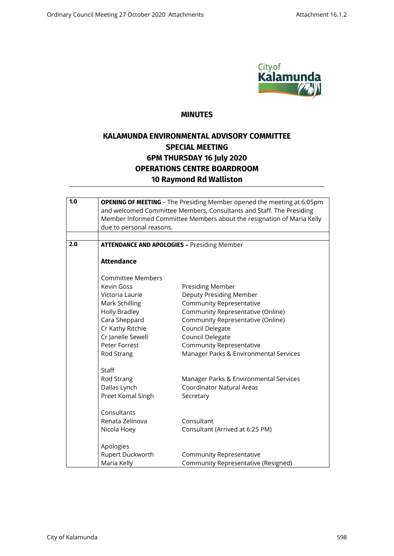

## **MINUTES**

## **KALAMUNDA ENVIRONMENTAL ADVISORY COMMITTEE SPECIAL MEETING 6PM THURSDAY 16 July 2020 OPERATIONS CENTRE BOARDROOM 10 Raymond Rd Walliston**

| 1.0 | due to personal reasons.                           | <b>OPENING OF MEETING</b> - The Presiding Member opened the meeting at 6:05pm<br>and welcomed Committee Members, Consultants and Staff. The Presiding<br>Member Informed Committee Members about the resignation of Maria Kelly |
|-----|----------------------------------------------------|---------------------------------------------------------------------------------------------------------------------------------------------------------------------------------------------------------------------------------|
| 2.0 | <b>ATTENDANCE AND APOLOGIES - Presiding Member</b> |                                                                                                                                                                                                                                 |
|     |                                                    |                                                                                                                                                                                                                                 |
|     | <b>Attendance</b>                                  |                                                                                                                                                                                                                                 |
|     | <b>Committee Members</b>                           |                                                                                                                                                                                                                                 |
|     | <b>Kevin Goss</b>                                  | Presiding Member                                                                                                                                                                                                                |
|     | Victoria Laurie                                    | Deputy Presiding Member                                                                                                                                                                                                         |
|     | Mark Schilling                                     | <b>Community Representative</b>                                                                                                                                                                                                 |
|     | <b>Holly Bradley</b>                               | Community Representative (Online)                                                                                                                                                                                               |
|     | Cara Sheppard                                      | Community Representative (Online)                                                                                                                                                                                               |
|     | Cr Kathy Ritchie                                   | Council Delegate                                                                                                                                                                                                                |
|     | Cr Janelle Sewell<br>Peter Forrest                 | Council Delegate<br><b>Community Representative</b>                                                                                                                                                                             |
|     | Rod Strang                                         | Manager Parks & Environmental Services                                                                                                                                                                                          |
|     |                                                    |                                                                                                                                                                                                                                 |
|     | Staff                                              |                                                                                                                                                                                                                                 |
|     | Rod Strang                                         | Manager Parks & Environmental Services                                                                                                                                                                                          |
|     | Dallas Lynch                                       | <b>Coordinator Natural Areas</b>                                                                                                                                                                                                |
|     | Preet Komal Singh                                  | Secretary                                                                                                                                                                                                                       |
|     | Consultants                                        |                                                                                                                                                                                                                                 |
|     | Renata Zelinova                                    | Consultant                                                                                                                                                                                                                      |
|     | Nicola Hoey                                        | Consultant (Arrived at 6:25 PM)                                                                                                                                                                                                 |
|     | Apologies                                          |                                                                                                                                                                                                                                 |
|     | Rupert Duckworth                                   | Community Representative                                                                                                                                                                                                        |
|     | Maria Kelly                                        | Community Representative (Resigned)                                                                                                                                                                                             |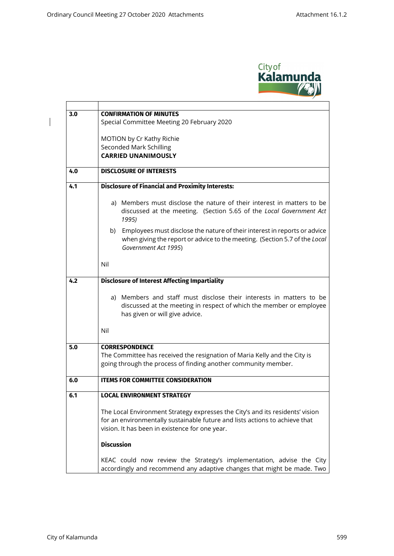$\overline{\phantom{a}}$ 



| 3.0 | <b>CONFIRMATION OF MINUTES</b>                                                                                                                                                                                                      |  |
|-----|-------------------------------------------------------------------------------------------------------------------------------------------------------------------------------------------------------------------------------------|--|
|     | Special Committee Meeting 20 February 2020                                                                                                                                                                                          |  |
|     |                                                                                                                                                                                                                                     |  |
|     | MOTION by Cr Kathy Richie                                                                                                                                                                                                           |  |
|     | <b>Seconded Mark Schilling</b><br><b>CARRIED UNANIMOUSLY</b>                                                                                                                                                                        |  |
|     |                                                                                                                                                                                                                                     |  |
| 4.0 | <b>DISCLOSURE OF INTERESTS</b>                                                                                                                                                                                                      |  |
| 4.1 | <b>Disclosure of Financial and Proximity Interests:</b>                                                                                                                                                                             |  |
|     | a) Members must disclose the nature of their interest in matters to be<br>discussed at the meeting. (Section 5.65 of the Local Government Act<br>1995)                                                                              |  |
|     | Employees must disclose the nature of their interest in reports or advice<br>b)<br>when giving the report or advice to the meeting. (Section 5.7 of the Local<br>Government Act 1995)                                               |  |
|     | Nil                                                                                                                                                                                                                                 |  |
| 4.2 | <b>Disclosure of Interest Affecting Impartiality</b>                                                                                                                                                                                |  |
|     | a) Members and staff must disclose their interests in matters to be<br>discussed at the meeting in respect of which the member or employee<br>has given or will give advice.                                                        |  |
|     | Nil                                                                                                                                                                                                                                 |  |
| 5.0 | <b>CORRESPONDENCE</b>                                                                                                                                                                                                               |  |
|     | The Committee has received the resignation of Maria Kelly and the City is<br>going through the process of finding another community member.                                                                                         |  |
| 6.0 | <b>ITEMS FOR COMMITTEE CONSIDERATION</b>                                                                                                                                                                                            |  |
| 6.1 | <b>LOCAL ENVIRONMENT STRATEGY</b>                                                                                                                                                                                                   |  |
|     | The Local Environment Strategy expresses the City's and its residents' vision<br>for an environmentally sustainable future and lists actions to achieve that<br>vision. It has been in existence for one year.<br><b>Discussion</b> |  |
|     |                                                                                                                                                                                                                                     |  |
|     | KEAC could now review the Strategy's implementation, advise the City<br>accordingly and recommend any adaptive changes that might be made. Two                                                                                      |  |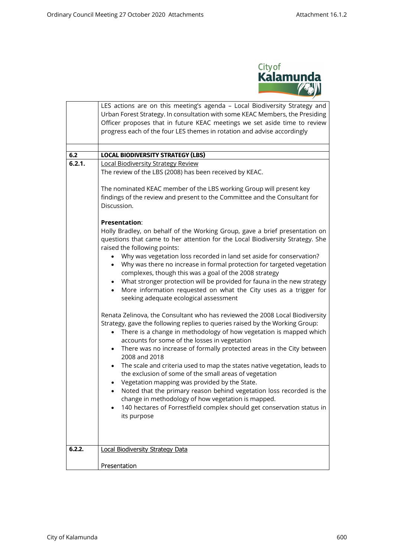

|        | LES actions are on this meeting's agenda - Local Biodiversity Strategy and<br>Urban Forest Strategy. In consultation with some KEAC Members, the Presiding<br>Officer proposes that in future KEAC meetings we set aside time to review<br>progress each of the four LES themes in rotation and advise accordingly                                                                                              |
|--------|-----------------------------------------------------------------------------------------------------------------------------------------------------------------------------------------------------------------------------------------------------------------------------------------------------------------------------------------------------------------------------------------------------------------|
| 6.2    | <b>LOCAL BIODIVERSITY STRATEGY (LBS)</b>                                                                                                                                                                                                                                                                                                                                                                        |
| 6.2.1. | <b>Local Biodiversity Strategy Review</b>                                                                                                                                                                                                                                                                                                                                                                       |
|        | The review of the LBS (2008) has been received by KEAC.                                                                                                                                                                                                                                                                                                                                                         |
|        | The nominated KEAC member of the LBS working Group will present key<br>findings of the review and present to the Committee and the Consultant for<br>Discussion.                                                                                                                                                                                                                                                |
|        | <b>Presentation:</b>                                                                                                                                                                                                                                                                                                                                                                                            |
|        | Holly Bradley, on behalf of the Working Group, gave a brief presentation on<br>questions that came to her attention for the Local Biodiversity Strategy. She<br>raised the following points:                                                                                                                                                                                                                    |
|        | Why was vegetation loss recorded in land set aside for conservation?<br>Why was there no increase in formal protection for targeted vegetation<br>complexes, though this was a goal of the 2008 strategy<br>What stronger protection will be provided for fauna in the new strategy<br>$\bullet$<br>More information requested on what the City uses as a trigger for<br>seeking adequate ecological assessment |
|        | Renata Zelinova, the Consultant who has reviewed the 2008 Local Biodiversity<br>Strategy, gave the following replies to queries raised by the Working Group:<br>There is a change in methodology of how vegetation is mapped which<br>$\bullet$<br>accounts for some of the losses in vegetation                                                                                                                |
|        | There was no increase of formally protected areas in the City between<br>$\bullet$                                                                                                                                                                                                                                                                                                                              |
|        | 2008 and 2018<br>The scale and criteria used to map the states native vegetation, leads to<br>$\bullet$<br>the exclusion of some of the small areas of vegetation<br>Vegetation mapping was provided by the State.                                                                                                                                                                                              |
|        | Noted that the primary reason behind vegetation loss recorded is the<br>change in methodology of how vegetation is mapped.                                                                                                                                                                                                                                                                                      |
|        | 140 hectares of Forrestfield complex should get conservation status in<br>its purpose                                                                                                                                                                                                                                                                                                                           |
| 6.2.2. | <b>Local Biodiversity Strategy Data</b>                                                                                                                                                                                                                                                                                                                                                                         |
|        | Presentation                                                                                                                                                                                                                                                                                                                                                                                                    |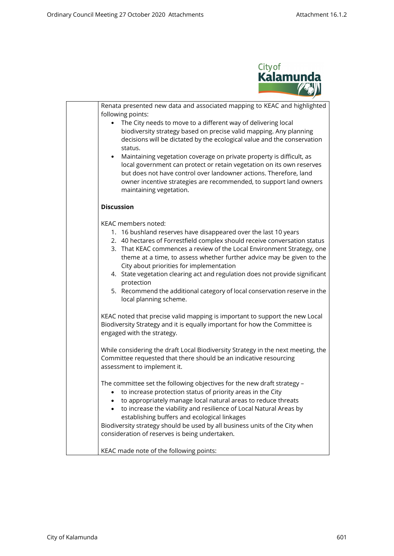

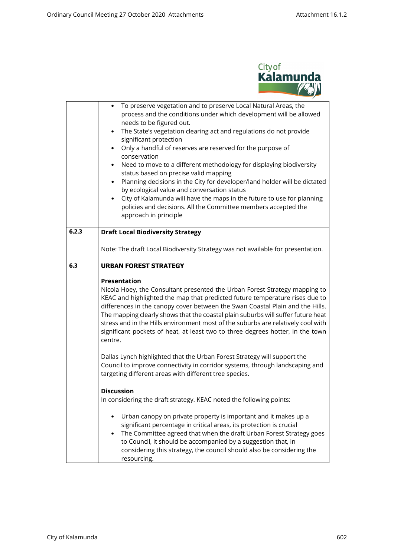

|       | To preserve vegetation and to preserve Local Natural Areas, the<br>process and the conditions under which development will be allowed<br>needs to be figured out.<br>The State's vegetation clearing act and regulations do not provide<br>$\bullet$<br>significant protection<br>Only a handful of reserves are reserved for the purpose of<br>$\bullet$<br>conservation<br>Need to move to a different methodology for displaying biodiversity<br>status based on precise valid mapping<br>Planning decisions in the City for developer/land holder will be dictated<br>by ecological value and conversation status<br>City of Kalamunda will have the maps in the future to use for planning<br>$\bullet$<br>policies and decisions. All the Committee members accepted the<br>approach in principle |  |
|-------|---------------------------------------------------------------------------------------------------------------------------------------------------------------------------------------------------------------------------------------------------------------------------------------------------------------------------------------------------------------------------------------------------------------------------------------------------------------------------------------------------------------------------------------------------------------------------------------------------------------------------------------------------------------------------------------------------------------------------------------------------------------------------------------------------------|--|
| 6.2.3 | <b>Draft Local Biodiversity Strategy</b>                                                                                                                                                                                                                                                                                                                                                                                                                                                                                                                                                                                                                                                                                                                                                                |  |
|       | Note: The draft Local Biodiversity Strategy was not available for presentation.                                                                                                                                                                                                                                                                                                                                                                                                                                                                                                                                                                                                                                                                                                                         |  |
| 6.3   | <b>URBAN FOREST STRATEGY</b>                                                                                                                                                                                                                                                                                                                                                                                                                                                                                                                                                                                                                                                                                                                                                                            |  |
|       | <b>Presentation</b><br>Nicola Hoey, the Consultant presented the Urban Forest Strategy mapping to<br>KEAC and highlighted the map that predicted future temperature rises due to<br>differences in the canopy cover between the Swan Coastal Plain and the Hills.<br>The mapping clearly shows that the coastal plain suburbs will suffer future heat<br>stress and in the Hills environment most of the suburbs are relatively cool with<br>significant pockets of heat, at least two to three degrees hotter, in the town<br>centre.                                                                                                                                                                                                                                                                  |  |
|       | Dallas Lynch highlighted that the Urban Forest Strategy will support the<br>Council to improve connectivity in corridor systems, through landscaping and<br>targeting different areas with different tree species.                                                                                                                                                                                                                                                                                                                                                                                                                                                                                                                                                                                      |  |
|       | <b>Discussion</b><br>In considering the draft strategy. KEAC noted the following points:                                                                                                                                                                                                                                                                                                                                                                                                                                                                                                                                                                                                                                                                                                                |  |
|       | Urban canopy on private property is important and it makes up a<br>significant percentage in critical areas, its protection is crucial<br>The Committee agreed that when the draft Urban Forest Strategy goes<br>to Council, it should be accompanied by a suggestion that, in<br>considering this strategy, the council should also be considering the<br>resourcing.                                                                                                                                                                                                                                                                                                                                                                                                                                  |  |